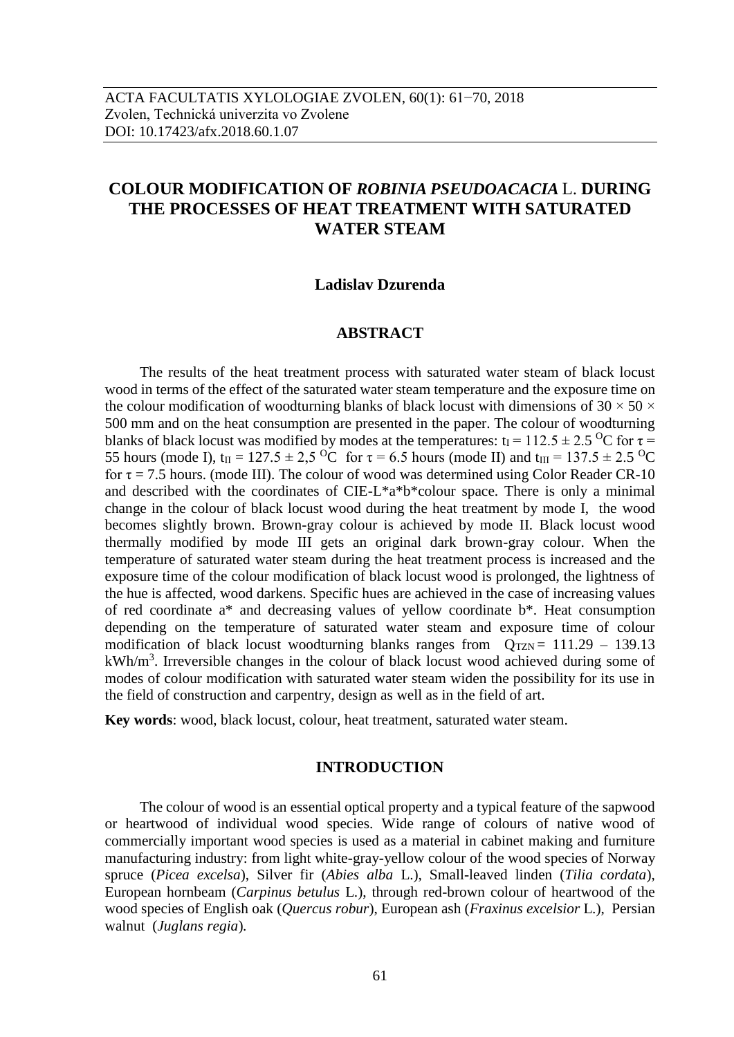# **COLOUR MODIFICATION OF** *ROBINIA PSEUDOACACIA* L. **DURING THE PROCESSES OF HEAT TREATMENT WITH SATURATED WATER STEAM**

## **Ladislav Dzurenda**

#### **ABSTRACT**

The results of the heat treatment process with saturated water steam of black locust wood in terms of the effect of the saturated water steam temperature and the exposure time on the colour modification of woodturning blanks of black locust with dimensions of 30  $\times$  50  $\times$ 500 mm and on the heat consumption are presented in the paper. The colour of woodturning blanks of black locust was modified by modes at the temperatures:  $t_1 = 112.5 \pm 2.5$  <sup>O</sup>C for  $\tau =$ 55 hours (mode I),  $t_{II} = 127.5 \pm 2.5$  OC for  $\tau = 6.5$  hours (mode II) and  $t_{III} = 137.5 \pm 2.5$  OC for  $\tau$  = 7.5 hours. (mode III). The colour of wood was determined using Color Reader CR-10 and described with the coordinates of CIE-L\*a\*b\*colour space. There is only a minimal change in the colour of black locust wood during the heat treatment by mode I, the wood becomes slightly brown. Brown-gray colour is achieved by mode II. Black locust wood thermally modified by mode III gets an original dark brown-gray colour. When the temperature of saturated water steam during the heat treatment process is increased and the exposure time of the colour modification of black locust wood is prolonged, the lightness of the hue is affected, wood darkens. Specific hues are achieved in the case of increasing values of red coordinate a\* and decreasing values of yellow coordinate b\*. Heat consumption depending on the temperature of saturated water steam and exposure time of colour modification of black locust woodturning blanks ranges from  $Q_{TZN} = 111.29 - 139.13$ kWh/m<sup>3</sup>. Irreversible changes in the colour of black locust wood achieved during some of modes of colour modification with saturated water steam widen the possibility for its use in the field of construction and carpentry, design as well as in the field of art.

**Key words**: wood, black locust, colour, heat treatment, saturated water steam.

#### **INTRODUCTION**

The colour of wood is an essential optical property and a typical feature of the sapwood or heartwood of individual wood species. Wide range of colours of native wood of commercially important wood species is used as a material in cabinet making and furniture manufacturing industry: from light white-gray-yellow colour of the wood species of Norway spruce (*Picea excelsa*), Silver fir (*Abies alba* L.), Small-leaved linden (*Tilia cordata*), European hornbeam (*Carpinus betulus* L.), through red-brown colour of heartwood of the wood species of English oak (*Quercus robur*), European ash (*Fraxinus excelsior* L.), Persian walnut (*Juglans regia*)*.*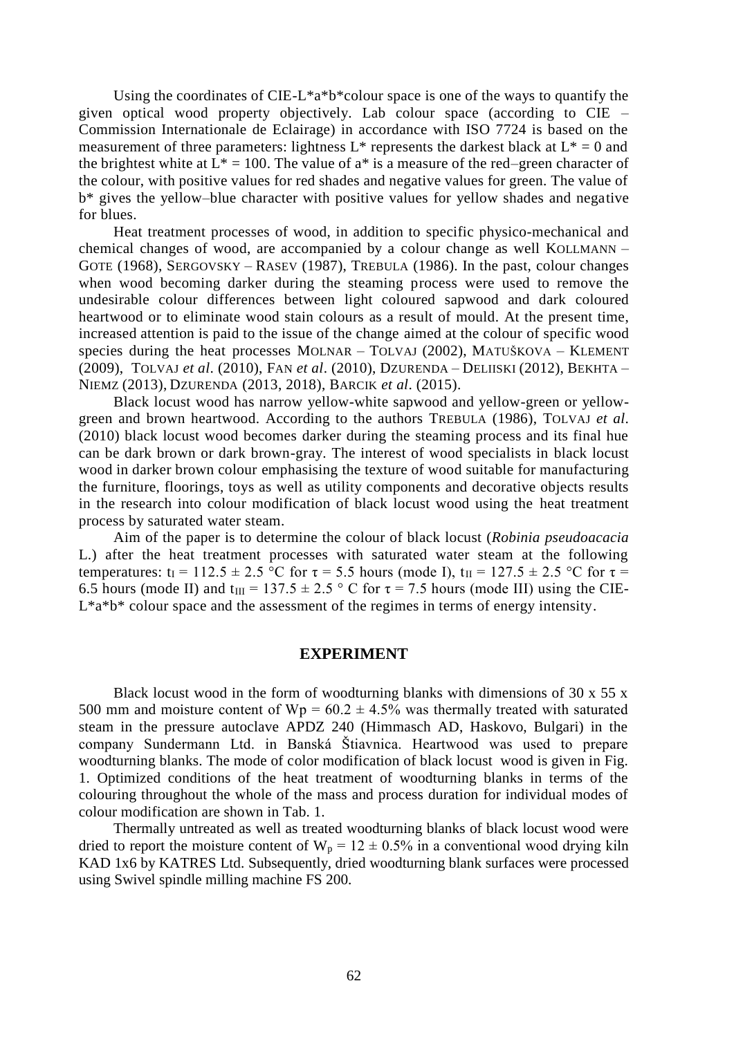Using the coordinates of CIE-L\*a\*b\*colour space is one of the ways to quantify the given optical wood property objectively. Lab colour space (according to CIE – Commission Internationale de Eclairage) in accordance with ISO 7724 is based on the measurement of three parameters: lightness  $L^*$  represents the darkest black at  $L^* = 0$  and the brightest white at  $L^* = 100$ . The value of a<sup>\*</sup> is a measure of the red–green character of the colour, with positive values for red shades and negative values for green. The value of b\* gives the yellow–blue character with positive values for yellow shades and negative for blues.

Heat treatment processes of wood, in addition to specific physico-mechanical and chemical changes of wood, are accompanied by a colour change as well KOLLMANN – GOTE (1968), SERGOVSKY – RASEV (1987), TREBULA (1986). In the past, colour changes when wood becoming darker during the steaming process were used to remove the undesirable colour differences between light coloured sapwood and dark coloured heartwood or to eliminate wood stain colours as a result of mould. At the present time, increased attention is paid to the issue of the change aimed at the colour of specific wood species during the heat processes MOLNAR – TOLVAJ (2002), MATUŠKOVA – KLEMENT (2009), TOLVAJ *et al*. (2010), FAN *et al*. (2010), DZURENDA – DELIISKI (2012), BEKHTA – NIEMZ (2013), DZURENDA (2013, 2018), BARCIK *et al*. (2015).

Black locust wood has narrow yellow-white sapwood and yellow-green or yellowgreen and brown heartwood. According to the authors TREBULA (1986), TOLVAJ *et al*. (2010) black locust wood becomes darker during the steaming process and its final hue can be dark brown or dark brown-gray. The interest of wood specialists in black locust wood in darker brown colour emphasising the texture of wood suitable for manufacturing the furniture, floorings, toys as well as utility components and decorative objects results in the research into colour modification of black locust wood using the heat treatment process by saturated water steam.

Aim of the paper is to determine the colour of black locust (*Robinia pseudoacacia* L.) after the heat treatment processes with saturated water steam at the following temperatures:  $t_I = 112.5 \pm 2.5$  °C for  $\tau = 5.5$  hours (mode I),  $t_{II} = 127.5 \pm 2.5$  °C for  $\tau =$ 6.5 hours (mode II) and t<sub>III</sub> = 137.5  $\pm$  2.5 ° C for  $\tau$  = 7.5 hours (mode III) using the CIE- $L^*a^*b^*$  colour space and the assessment of the regimes in terms of energy intensity.

## **EXPERIMENT**

Black locust wood in the form of woodturning blanks with dimensions of 30 x 55 x 500 mm and moisture content of  $Wp = 60.2 \pm 4.5\%$  was thermally treated with saturated steam in the pressure autoclave APDZ 240 (Himmasch AD, Haskovo, Bulgari) in the company Sundermann Ltd. in Banská Štiavnica. Heartwood was used to prepare woodturning blanks. The mode of color modification of black locust wood is given in Fig. 1. Optimized conditions of the heat treatment of woodturning blanks in terms of the colouring throughout the whole of the mass and process duration for individual modes of colour modification are shown in Tab. 1.

Thermally untreated as well as treated woodturning blanks of black locust wood were dried to report the moisture content of  $W_p = 12 \pm 0.5\%$  in a conventional wood drying kiln KAD 1x6 by KATRES Ltd. Subsequently, dried woodturning blank surfaces were processed using Swivel spindle milling machine FS 200.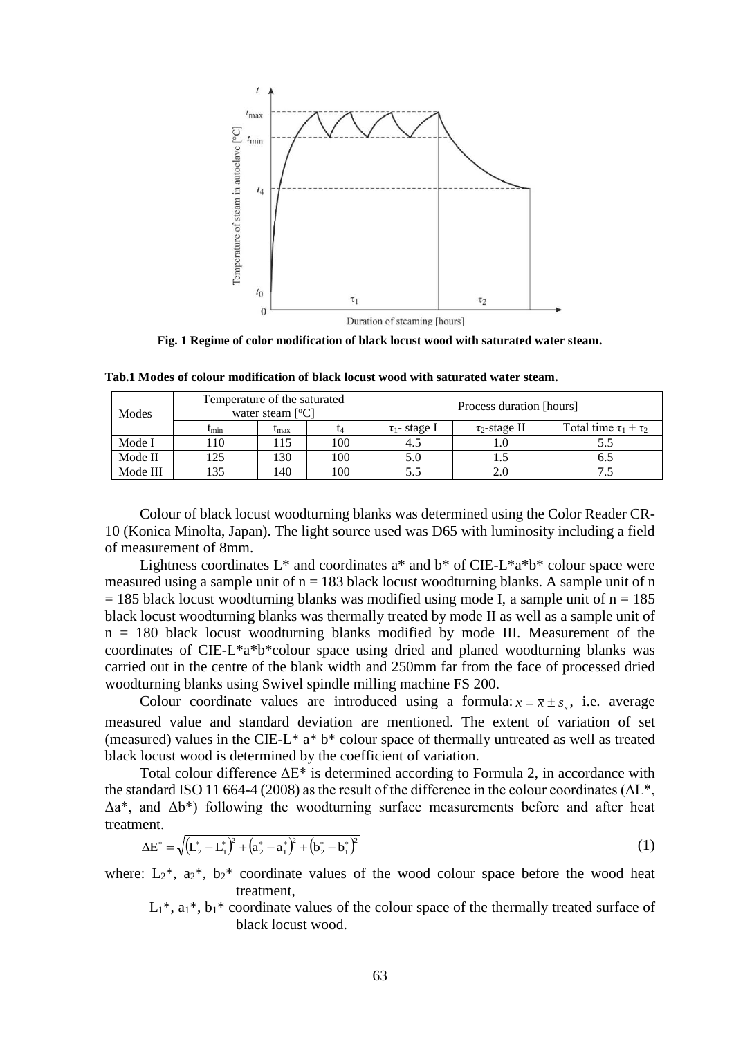

**Fig. 1 Regime of color modification of black locust wood with saturated water steam.**

| Modes    | Temperature of the saturated<br>water steam $[°C]$ |              |                | Process duration [hours] |                    |                              |
|----------|----------------------------------------------------|--------------|----------------|--------------------------|--------------------|------------------------------|
|          | $\mathrm{t}_{\mathrm{min}}$                        | <b>L</b> max |                | $\tau_1$ -stage I        | $\tau_2$ -stage II | Total time $\tau_1 + \tau_2$ |
| Mode I   | 110                                                | 15           | 100            |                          |                    |                              |
| Mode II  | 25                                                 | 130          | 100            |                          |                    |                              |
| Mode III | .35                                                | 140          | 0 <sup>0</sup> |                          |                    |                              |

**Tab.1 Modes of colour modification of black locust wood with saturated water steam.**

Colour of black locust woodturning blanks was determined using the Color Reader CR-10 (Konica Minolta, Japan). The light source used was D65 with luminosity including a field of measurement of 8mm.

Lightness coordinates  $L^*$  and coordinates  $a^*$  and  $b^*$  of CIE-L\* $a^*b^*$  colour space were measured using a sample unit of  $n = 183$  black locust woodturning blanks. A sample unit of n  $= 185$  black locust woodturning blanks was modified using mode I, a sample unit of  $n = 185$ black locust woodturning blanks was thermally treated by mode II as well as a sample unit of n = 180 black locust woodturning blanks modified by mode III. Measurement of the coordinates of CIE-L\*a\*b\*colour space using dried and planed woodturning blanks was carried out in the centre of the blank width and 250mm far from the face of processed dried woodturning blanks using Swivel spindle milling machine FS 200.

Colour coordinate values are introduced using a formula:  $x = \bar{x} \pm s_x$ , i.e. average measured value and standard deviation are mentioned. The extent of variation of set (measured) values in the CIE-L\* a\* b\* colour space of thermally untreated as well as treated black locust wood is determined by the coefficient of variation.

Total colour difference  $\Delta E^*$  is determined according to Formula 2, in accordance with the standard ISO 11 664-4 (2008) as the result of the difference in the colour coordinates ( $\Delta L^*$ ,  $\Delta a^*$ , and  $\Delta b^*$ ) following the woodturning surface measurements before and after heat treatment.

$$
\Delta E^* = \sqrt{\left(L_2^* - L_1^*\right)^2 + \left(a_2^* - a_1^*\right)^2 + \left(b_2^* - b_1^*\right)^2} \tag{1}
$$

where:  $L_2^*$ ,  $a_2^*$ ,  $b_2^*$  coordinate values of the wood colour space before the wood heat treatment,

 $L_1^*$ ,  $a_1^*$ ,  $b_1^*$  coordinate values of the colour space of the thermally treated surface of black locust wood.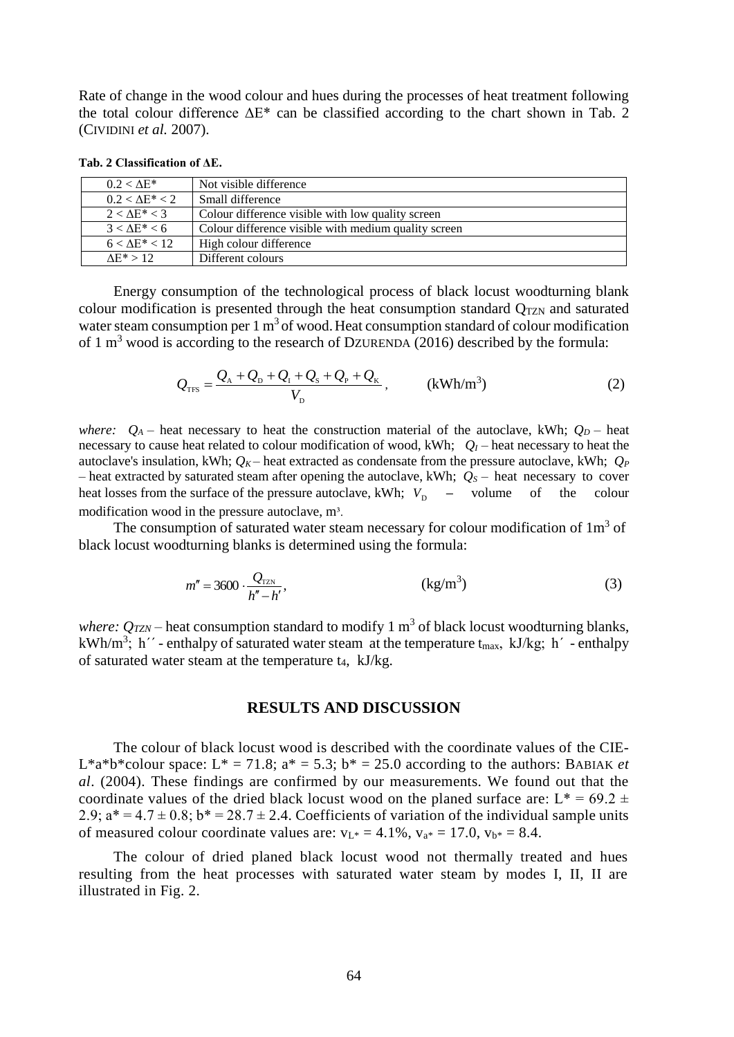Rate of change in the wood colour and hues during the processes of heat treatment following the total colour difference  $\Delta E^*$  can be classified according to the chart shown in Tab. 2 (CIVIDINI *et al.* 2007).

| $0.2 < \Delta E^*$     | Not visible difference                               |  |
|------------------------|------------------------------------------------------|--|
| $0.2 < \Delta E^* < 2$ | Small difference                                     |  |
| $2 < \Delta E^* < 3$   | Colour difference visible with low quality screen    |  |
| $3 < \Delta E^* < 6$   | Colour difference visible with medium quality screen |  |
| $6 < \Delta E^* < 12$  | High colour difference                               |  |
| $\Lambda$ E* > 12      | Different colours                                    |  |

**Tab. 2 Classification of ΔE.**

Energy consumption of the technological process of black locust woodturning blank colour modification is presented through the heat consumption standard  $Q_{TZN}$  and saturated water steam consumption per  $1 \text{ m}^3$  of wood. Heat consumption standard of colour modification of 1  $m<sup>3</sup>$  wood is according to the research of DZURENDA (2016) described by the formula:

$$
Q_{\rm TFS} = \frac{Q_{\rm A} + Q_{\rm D} + Q_{\rm I} + Q_{\rm S} + Q_{\rm P} + Q_{\rm K}}{V_{\rm D}}, \qquad \text{(kWh/m}^3)
$$
 (2)

*where:*  $Q_A$  – heat necessary to heat the construction material of the autoclave, kWh;  $Q_D$  – heat necessary to cause heat related to colour modification of wood, kWh;  $Q_I$  – heat necessary to heat the autoclave's insulation, kWh;  $Q_K$  – heat extracted as condensate from the pressure autoclave, kWh;  $Q_F$ – heat extracted by saturated steam after opening the autoclave, kWh;  $Q_S$  – heat necessary to cover heat losses from the surface of the pressure autoclave, kWh;  $V_D$  – volume of the colour modification wood in the pressure autoclave, m<sup>3</sup>.

The consumption of saturated water steam necessary for colour modification of  $1m<sup>3</sup>$  of black locust woodturning blanks is determined using the formula:

$$
m'' = 3600 \cdot \frac{Q_{\text{TZN}}}{h'' - h'}, \qquad (kg/m^3)
$$
 (3)

where:  $Q_{TZN}$  – heat consumption standard to modify 1 m<sup>3</sup> of black locust woodturning blanks, kWh/m<sup>3</sup>; h<sup>''</sup> - enthalpy of saturated water steam at the temperature t<sub>max</sub>, kJ/kg; h<sup>'</sup> - enthalpy of saturated water steam at the temperature t4, kJ/kg.

## **RESULTS AND DISCUSSION**

The colour of black locust wood is described with the coordinate values of the CIE-L<sup>\*</sup>a<sup>\*</sup>b<sup>\*</sup>colour space: L<sup>\*</sup> = 71.8; a<sup>\*</sup> = 5.3; b<sup>\*</sup> = 25.0 according to the authors: BABIAK *et al*. (2004). These findings are confirmed by our measurements. We found out that the coordinate values of the dried black locust wood on the planed surface are:  $L^* = 69.2 \pm$ 2.9;  $a^* = 4.7 \pm 0.8$ ;  $b^* = 28.7 \pm 2.4$ . Coefficients of variation of the individual sample units of measured colour coordinate values are:  $v_{L*} = 4.1\%$ ,  $v_{a*} = 17.0$ ,  $v_{b*} = 8.4$ .

The colour of dried planed black locust wood not thermally treated and hues resulting from the heat processes with saturated water steam by modes I, II, II are illustrated in Fig. 2.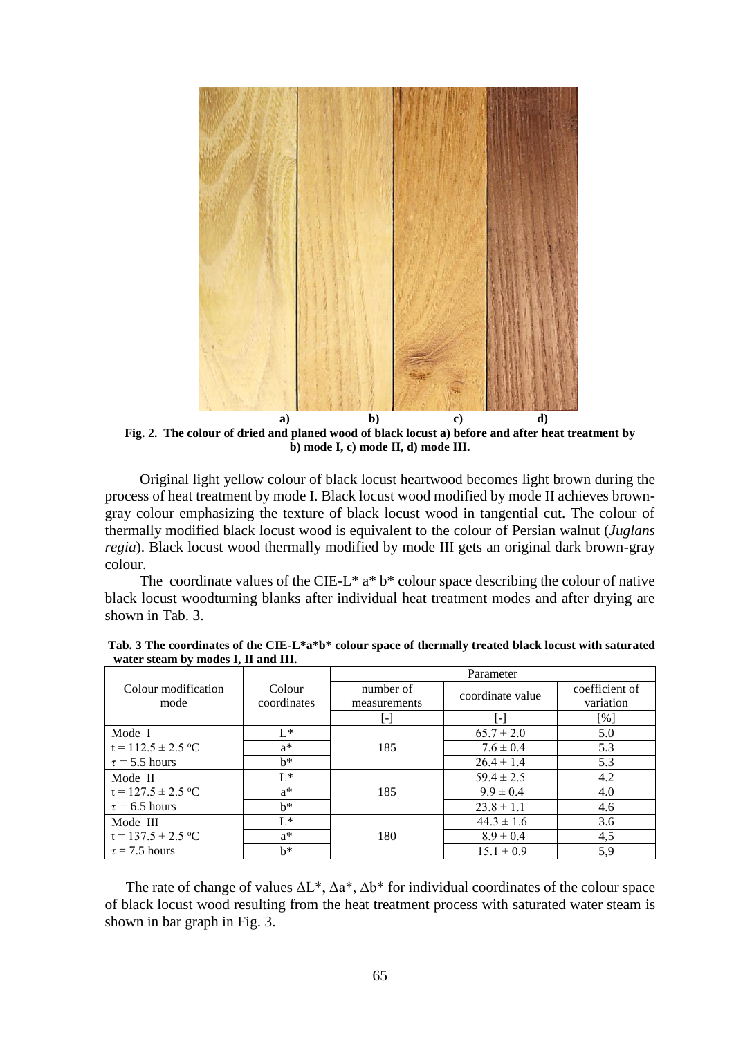

**Fig. 2. The colour of dried and planed wood of black locust a) before and after heat treatment by b) mode I, c) mode II, d) mode III.**

Original light yellow colour of black locust heartwood becomes light brown during the process of heat treatment by mode I. Black locust wood modified by mode II achieves browngray colour emphasizing the texture of black locust wood in tangential cut. The colour of thermally modified black locust wood is equivalent to the colour of Persian walnut (*Juglans regia*). Black locust wood thermally modified by mode III gets an original dark brown-gray colour.

The coordinate values of the CIE-L\*  $a^* b^*$  colour space describing the colour of native black locust woodturning blanks after individual heat treatment modes and after drying are shown in Tab. 3.

|                        |             | Parameter         |                  |                |  |
|------------------------|-------------|-------------------|------------------|----------------|--|
| Colour modification    | Colour      | number of         | coordinate value | coefficient of |  |
| mode                   | coordinates | measurements      |                  | variation      |  |
|                        |             | $\vert$ - $\vert$ | $\mathsf{E}$     | [%]            |  |
| Mode I                 | $L^*$       |                   | $65.7 \pm 2.0$   | 5.0            |  |
| $t = 112.5 \pm 2.5$ °C | $a^*$       | 185               | $7.6 \pm 0.4$    | 5.3            |  |
| $\tau$ = 5.5 hours     | $h^*$       |                   | $26.4 \pm 1.4$   | 5.3            |  |
| Mode II                | $L^*$       |                   | $59.4 \pm 2.5$   | 4.2            |  |
| $t = 127.5 \pm 2.5$ °C | $a^*$       | 185               | $9.9 \pm 0.4$    | 4.0            |  |
| $\tau$ = 6.5 hours     | $h^*$       |                   | $23.8 \pm 1.1$   | 4.6            |  |
| Mode III               | $L^*$       |                   | $44.3 \pm 1.6$   | 3.6            |  |
| $t = 137.5 \pm 2.5$ °C | $a^*$       | 180               | $8.9 \pm 0.4$    | 4,5            |  |
| $\tau = 7.5$ hours     | $h^*$       |                   | $15.1 \pm 0.9$   | 5,9            |  |

**Tab. 3 The coordinates of the CIE-L\*a\*b\* colour space of thermally treated black locust with saturated water steam by modes I, II and III.**

The rate of change of values  $\Delta L^*$ ,  $\Delta a^*$ ,  $\Delta b^*$  for individual coordinates of the colour space of black locust wood resulting from the heat treatment process with saturated water steam is shown in bar graph in Fig. 3.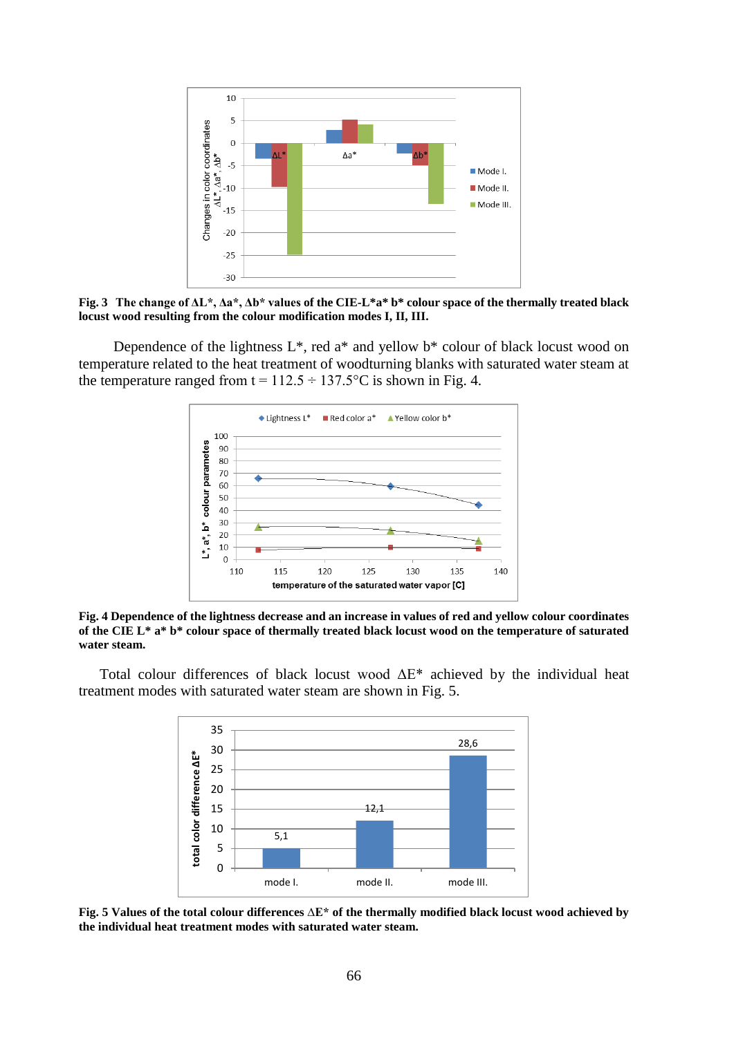

**Fig. 3 The change of ΔL\*, Δa\*, Δb\* values of the CIE-L\*a\* b\* colour space of the thermally treated black locust wood resulting from the colour modification modes I, II, III.**

Dependence of the lightness  $L^*$ , red a<sup>\*</sup> and yellow  $b^*$  colour of black locust wood on temperature related to the heat treatment of woodturning blanks with saturated water steam at the temperature ranged from  $t = 112.5 \div 137.5$ °C is shown in Fig. 4.



**Fig. 4 Dependence of the lightness decrease and an increase in values of red and yellow colour coordinates of the CIE L\* a\* b\* colour space of thermally treated black locust wood on the temperature of saturated water steam.**

Total colour differences of black locust wood ΔE\* achieved by the individual heat treatment modes with saturated water steam are shown in Fig. 5.



**Fig. 5 Values of the total colour differences ∆E\* of the thermally modified black locust wood achieved by the individual heat treatment modes with saturated water steam.**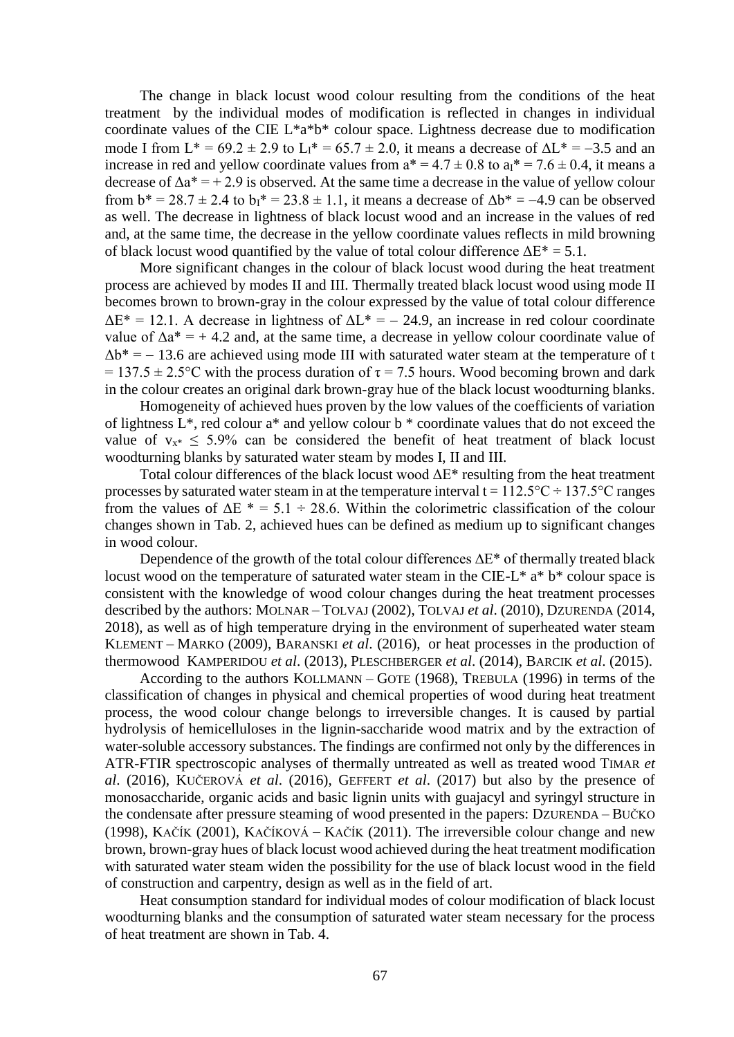The change in black locust wood colour resulting from the conditions of the heat treatment by the individual modes of modification is reflected in changes in individual coordinate values of the CIE L\*a\*b\* colour space. Lightness decrease due to modification mode I from  $L^* = 69.2 \pm 2.9$  to  $L_1^* = 65.7 \pm 2.0$ , it means a decrease of  $\Delta L^* = -3.5$  and an increase in red and yellow coordinate values from  $a^* = 4.7 \pm 0.8$  to  $a_i^* = 7.6 \pm 0.4$ , it means a decrease of  $\Delta a^* = +2.9$  is observed. At the same time a decrease in the value of yellow colour from  $b^* = 28.7 \pm 2.4$  to  $b_1^* = 23.8 \pm 1.1$ , it means a decrease of  $\Delta b^* = -4.9$  can be observed as well. The decrease in lightness of black locust wood and an increase in the values of red and, at the same time, the decrease in the yellow coordinate values reflects in mild browning of black locust wood quantified by the value of total colour difference  $\Delta E^* = 5.1$ .

More significant changes in the colour of black locust wood during the heat treatment process are achieved by modes II and III. Thermally treated black locust wood using mode II becomes brown to brown-gray in the colour expressed by the value of total colour difference  $\Delta E^* = 12.1$ . A decrease in lightness of  $\Delta L^* = -24.9$ , an increase in red colour coordinate value of  $\Delta a^* = +4.2$  and, at the same time, a decrease in yellow colour coordinate value of  $\Delta b^* = -13.6$  are achieved using mode III with saturated water steam at the temperature of t = 137.5  $\pm$  2.5°C with the process duration of  $\tau$  = 7.5 hours. Wood becoming brown and dark in the colour creates an original dark brown-gray hue of the black locust woodturning blanks.

Homogeneity of achieved hues proven by the low values of the coefficients of variation of lightness L\*, red colour a\* and yellow colour b \* coordinate values that do not exceed the value of  $v_{x*}$  < 5.9% can be considered the benefit of heat treatment of black locust woodturning blanks by saturated water steam by modes I, II and III.

Total colour differences of the black locust wood  $\Delta E^*$  resulting from the heat treatment processes by saturated water steam in at the temperature interval  $t = 112.5\degree C \div 137.5\degree C$  ranges from the values of  $\Delta E$  \* = 5.1 ÷ 28.6. Within the colorimetric classification of the colour changes shown in Tab. 2, achieved hues can be defined as medium up to significant changes in wood colour.

Dependence of the growth of the total colour differences ∆E\* of thermally treated black locust wood on the temperature of saturated water steam in the CIE-L<sup>\*</sup>  $a^* b^*$  colour space is consistent with the knowledge of wood colour changes during the heat treatment processes described by the authors: MOLNAR – TOLVAJ (2002), TOLVAJ *et al*. (2010), DZURENDA (2014, 2018), as well as of high temperature drying in the environment of superheated water steam KLEMENT – MARKO (2009), BARANSKI *et al*. (2016), or heat processes in the production of thermowood K[AMPERIDOU](http://apps.webofknowledge.com/DaisyOneClickSearch.do?product=WOS&search_mode=DaisyOneClickSearch&colName=WOS&SID=F1pIkKezVm4gHaOY87v&author_name=Kamperidou,%20V&dais_id=42244770&excludeEventConfig=ExcludeIfFromFullRecPage) *et al*. (2013), PLESCHBERGER *et al*. (2014), BARCIK *et al*. (2015).

According to the authors KOLLMANN – GOTE (1968), TREBULA (1996) in terms of the classification of changes in physical and chemical properties of wood during heat treatment process, the wood colour change belongs to irreversible changes. It is caused by partial hydrolysis of hemicelluloses in the lignin-saccharide wood matrix and by the extraction of water-soluble accessory substances. The findings are confirmed not only by the differences in ATR-FTIR spectroscopic analyses of thermally untreated as well as treated wood TIMAR *et al*. (2016), KUČEROVÁ *et al*. (2016), GEFFERT *et al*. (2017) but also by the presence of monosaccharide, organic acids and basic lignin units with guajacyl and syringyl structure in the condensate after pressure steaming of wood presented in the papers: DZURENDA – BUČKO (1998), KAČÍK (2001), KAČÍKOVÁ – KAČÍK (2011). The irreversible colour change and new brown, brown-gray hues of black locust wood achieved during the heat treatment modification with saturated water steam widen the possibility for the use of black locust wood in the field of construction and carpentry, design as well as in the field of art.

Heat consumption standard for individual modes of colour modification of black locust woodturning blanks and the consumption of saturated water steam necessary for the process of heat treatment are shown in Tab. 4.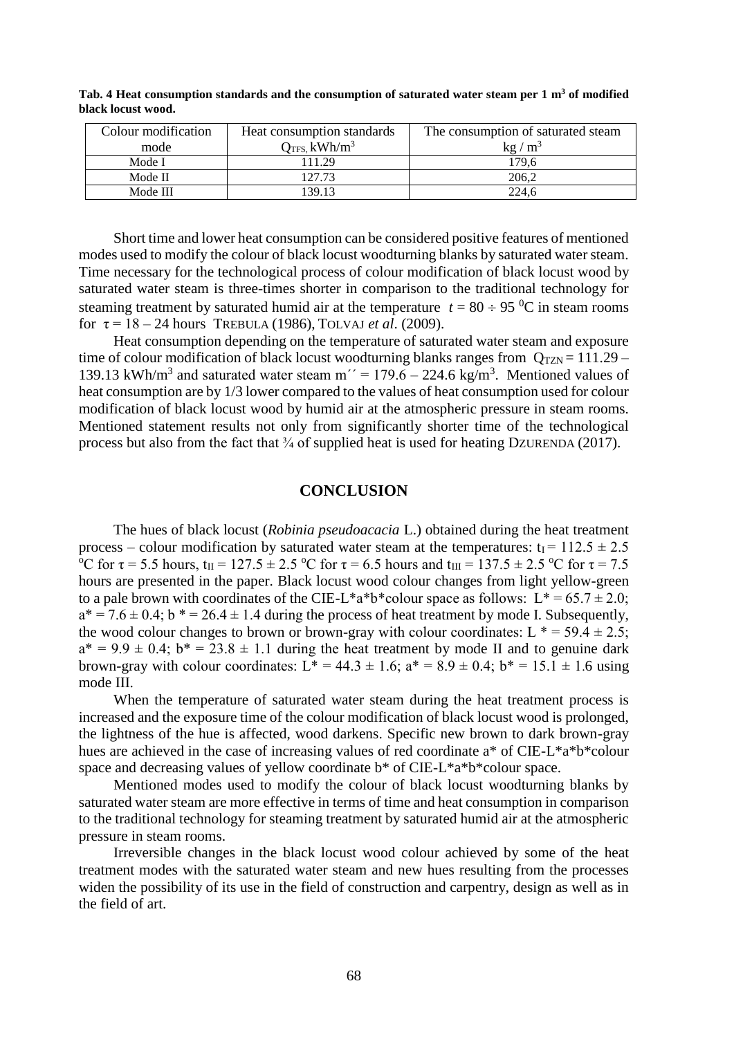| Colour modification<br>mode | Heat consumption standards<br>$Q$ <sub>TFS</sub> kWh/m <sup>3</sup> | The consumption of saturated steam<br>$kg/m^3$ |  |
|-----------------------------|---------------------------------------------------------------------|------------------------------------------------|--|
| Mode I                      | 111.29                                                              | 179.6                                          |  |
| Mode II                     | 127.73                                                              | 206.2                                          |  |
| Mode III                    | 139.13                                                              | 224.6                                          |  |

**Tab. 4 Heat consumption standards and the consumption of saturated water steam per 1 m<sup>3</sup> of modified black locust wood.**

Short time and lower heat consumption can be considered positive features of mentioned modes used to modify the colour of black locust woodturning blanks by saturated water steam. Time necessary for the technological process of colour modification of black locust wood by saturated water steam is three-times shorter in comparison to the traditional technology for steaming treatment by saturated humid air at the temperature  $t = 80 \div 95$  °C in steam rooms for  $\tau = 18 - 24$  hours TREBULA (1986), TOLVAJ *et al.* (2009).

Heat consumption depending on the temperature of saturated water steam and exposure time of colour modification of black locust woodturning blanks ranges from  $Q_{TZN} = 111.29 -$ 139.13 kWh/m<sup>3</sup> and saturated water steam m<sup> $\gamma$ </sup> = 179.6 – 224.6 kg/m<sup>3</sup>. Mentioned values of heat consumption are by 1/3 lower compared to the values of heat consumption used for colour modification of black locust wood by humid air at the atmospheric pressure in steam rooms. Mentioned statement results not only from significantly shorter time of the technological process but also from the fact that  $\frac{3}{4}$  of supplied heat is used for heating DZURENDA (2017).

#### **CONCLUSION**

The hues of black locust (*Robinia pseudoacacia* L.) obtained during the heat treatment process – colour modification by saturated water steam at the temperatures:  $t_1 = 112.5 \pm 2.5$ <sup>o</sup>C for  $\tau$  = 5.5 hours, t<sub>II</sub> = 127.5  $\pm$  2.5 <sup>o</sup>C for  $\tau$  = 6.5 hours and t<sub>III</sub> = 137.5  $\pm$  2.5 <sup>o</sup>C for  $\tau$  = 7.5 hours are presented in the paper. Black locust wood colour changes from light yellow-green to a pale brown with coordinates of the CIE-L\*a\*b\*colour space as follows:  $L^* = 65.7 \pm 2.0$ ;  $a^* = 7.6 \pm 0.4$ ;  $b^* = 26.4 \pm 1.4$  during the process of heat treatment by mode I. Subsequently, the wood colour changes to brown or brown-gray with colour coordinates:  $L^* = 59.4 \pm 2.5$ ;  $a^* = 9.9 \pm 0.4$ ;  $b^* = 23.8 \pm 1.1$  during the heat treatment by mode II and to genuine dark brown-gray with colour coordinates:  $L^* = 44.3 \pm 1.6$ ;  $a^* = 8.9 \pm 0.4$ ;  $b^* = 15.1 \pm 1.6$  using mode III.

When the temperature of saturated water steam during the heat treatment process is increased and the exposure time of the colour modification of black locust wood is prolonged, the lightness of the hue is affected, wood darkens. Specific new brown to dark brown-gray hues are achieved in the case of increasing values of red coordinate a\* of CIE-L\*a\*b\*colour space and decreasing values of yellow coordinate b\* of CIE-L\*a\*b\*colour space.

Mentioned modes used to modify the colour of black locust woodturning blanks by saturated water steam are more effective in terms of time and heat consumption in comparison to the traditional technology for steaming treatment by saturated humid air at the atmospheric pressure in steam rooms.

Irreversible changes in the black locust wood colour achieved by some of the heat treatment modes with the saturated water steam and new hues resulting from the processes widen the possibility of its use in the field of construction and carpentry, design as well as in the field of art.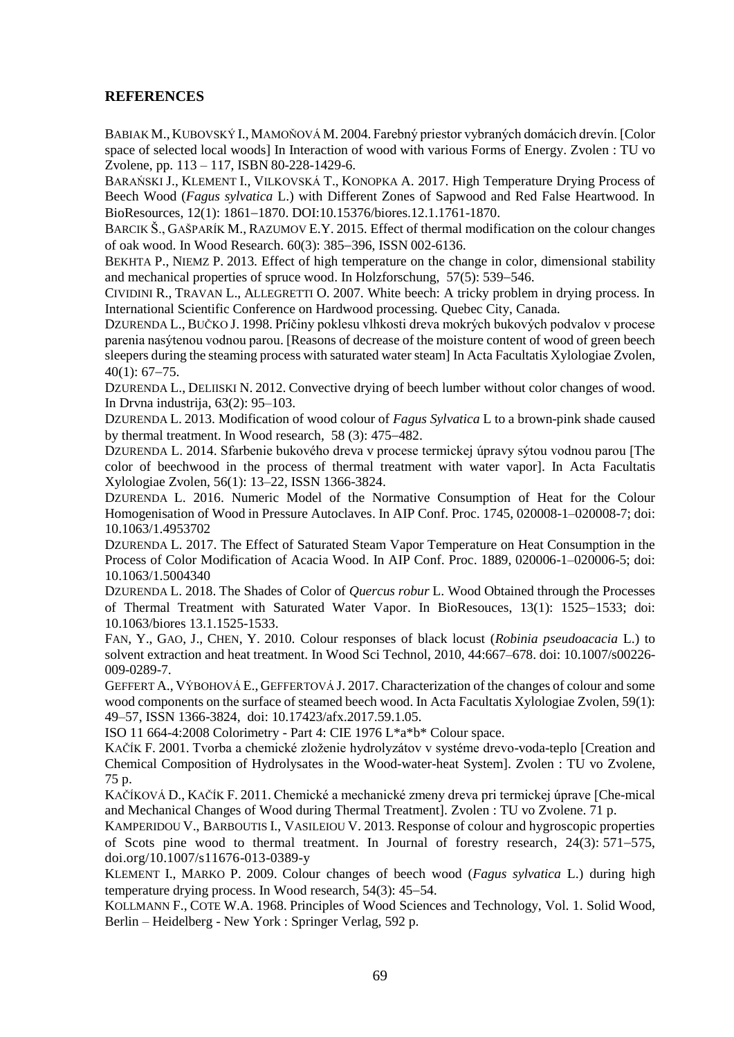# **REFERENCES**

BABIAK M., KUBOVSKÝ I., MAMOŇOVÁ M. 2004. Farebný priestor vybraných domácich drevín. [Color space of selected local woods] In Interaction of wood with various Forms of Energy. Zvolen : TU vo Zvolene, pp. 113 – 117, ISBN 80-228-1429-6.

BARAŃSKI J., KLEMENT I., VILKOVSKÁ T., KONOPKA A. 2017. High Temperature Drying Process of Beech Wood (*Fagus sylvatica* L.) with Different Zones of Sapwood and Red False Heartwood. In BioResources, 12(1): 1861-1870. DOI:10.15376/biores.12.1.1761-1870.

BARCIK Š., GAŠPARÍK M., RAZUMOV E.Y. 2015. Effect of thermal modification on the colour changes of oak wood. In Wood Research. 60(3): 385–396, ISSN 002-6136.

BEKHTA P., NIEMZ P. 2013. [Effect of high temperature on the change in color, dimensional stability](javascript:void(0))  [and mechanical properties of spruce wood.](javascript:void(0)) In Holzforschung,  $57(5)$ :  $539-546$ .

CIVIDINI R., TRAVAN L., ALLEGRETTI O. 2007. White beech: A tricky problem in drying process. In International Scientific Conference on Hardwood processing. Quebec City, Canada.

DZURENDA L., BUČKO J. 1998. Príčiny poklesu vlhkosti dreva mokrých bukových podvalov v procese parenia nasýtenou vodnou parou. [Reasons of decrease of the moisture content of wood of green beech sleepers during the steaming process with saturated water steam] In Acta Facultatis Xylologiae Zvolen,  $40(1)$ : 67-75.

DZURENDA L., DELIISKI N. 2012. Convective drying of beech lumber without color changes of wood. In Drvna industrija, 63(2): 95–103.

DZURENDA L. 2013. Modification of wood colour of *Fagus Sylvatica* L to a brown-pink shade caused by thermal treatment. In Wood research,  $58(3)$ : 475–482.

DZURENDA L. 2014. Sfarbenie bukového dreva v procese termickej úpravy sýtou vodnou parou [The color of beechwood in the process of thermal treatment with water vapor]. In Acta Facultatis Xylologiae Zvolen, 56(1): 13–22, ISSN 1366-3824.

DZURENDA L. 2016. Numeric Model of the Normative Consumption of Heat for the Colour Homogenisation of Wood in Pressure Autoclaves. In AIP Conf. Proc. 1745, 020008-1–020008-7; doi: 10.1063/1.4953702

DZURENDA L. 2017. The Effect of Saturated Steam Vapor Temperature on Heat Consumption in the Process of Color Modification of Acacia Wood. In AIP Conf. Proc. 1889, 020006-1–020006-5; doi: 10.1063/1.5004340

DZURENDA L. 2018. The Shades of Color of *Quercus robur* L. Wood Obtained through the Processes of Thermal Treatment with Saturated Water Vapor. In BioResouces, 13(1): 1525–1533; doi: 10.1063/biores 13.1.1525-1533.

FAN, Y., GAO, J., CHEN, Y. 2010. Colour responses of black locust (*Robinia pseudoacacia* L.) to solvent extraction and heat treatment. In Wood Sci Technol, 2010, 44:667–678. doi: 10.1007/s00226- 009-0289-7.

GEFFERT A., VÝBOHOVÁ E., GEFFERTOVÁ J. 2017. Characterization of the changes of colour and some wood components on the surface of steamed beech wood. In Acta Facultatis Xylologiae Zvolen, 59(1): 49–57, ISSN 1366-3824, doi: 10.17423/afx.2017.59.1.05.

ISO 11 664-4:2008 Colorimetry - Part 4: CIE 1976 L\*a\*b\* Colour space.

KAČÍK F. 2001. Tvorba a chemické zloženie hydrolyzátov v systéme drevo-voda-teplo [Creation and Chemical Composition of Hydrolysates in the Wood-water-heat System]. Zvolen : TU vo Zvolene, 75 p.

KAČÍKOVÁ D., KAČÍK F. 2011. Chemické a mechanické zmeny dreva pri termickej úprave [Che-mical and Mechanical Changes of Wood during Thermal Treatment]. Zvolen : TU vo Zvolene. 71 p.

K[AMPERIDOU](http://apps.webofknowledge.com/DaisyOneClickSearch.do?product=WOS&search_mode=DaisyOneClickSearch&colName=WOS&SID=F1pIkKezVm4gHaOY87v&author_name=Kamperidou,%20V&dais_id=42244770&excludeEventConfig=ExcludeIfFromFullRecPage) V., B[ARBOUTIS](http://apps.webofknowledge.com/DaisyOneClickSearch.do?product=WOS&search_mode=DaisyOneClickSearch&colName=WOS&SID=F1pIkKezVm4gHaOY87v&author_name=Barboutis,%20I&dais_id=6443410&excludeEventConfig=ExcludeIfFromFullRecPage) I., V[ASILEIOU](http://apps.webofknowledge.com/DaisyOneClickSearch.do?product=WOS&search_mode=DaisyOneClickSearch&colName=WOS&SID=F1pIkKezVm4gHaOY87v&author_name=Vasileiou,%20V&dais_id=91036140&excludeEventConfig=ExcludeIfFromFullRecPage) V. 2013. Response of colour and hygroscopic properties of Scots pine wood to thermal treatment. In Journal of forestry research,  $24(3)$ :  $571-575$ , doi.org/10.1007/s11676-013-0389-y

KLEMENT I., MARKO P. 2009. Colour changes of beech wood (*Fagus sylvatica* L.) during high temperature drying process. In Wood research,  $54(3)$ :  $45-54$ .

KOLLMANN F., COTE W.A. 1968. Principles of Wood Sciences and Technology, Vol. 1. Solid Wood, Berlin – Heidelberg - New York : Springer Verlag, 592 p.